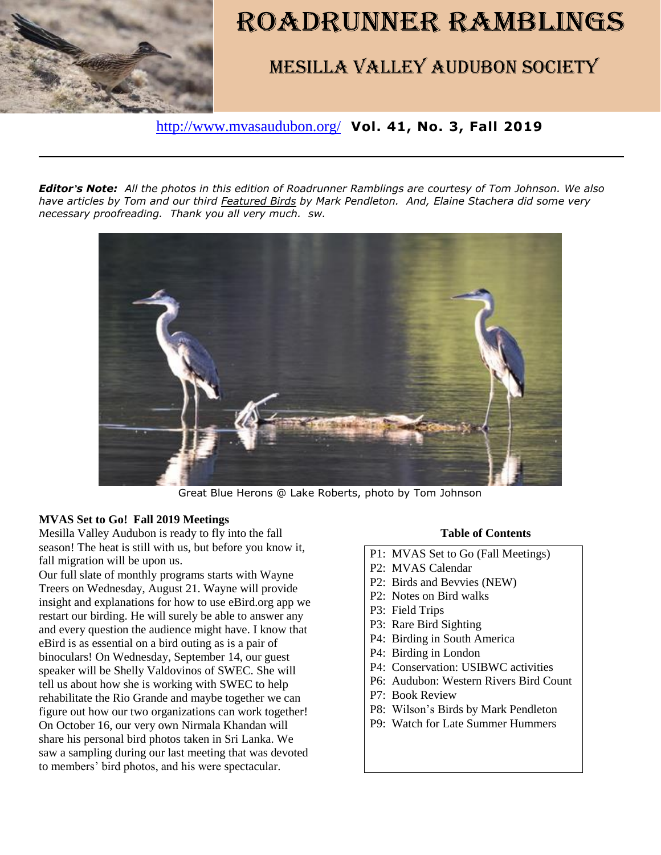

# ROADRUNNER RAMBLINGS

# Mesilla Valley Audubon Society

<http://www.mvasaudubon.org/> **Vol. 41, No. 3, Fall 2019** 

*Editor's Note: All the photos in this edition of Roadrunner Ramblings are courtesy of Tom Johnson. We also have articles by Tom and our third Featured Birds by Mark Pendleton. And, Elaine Stachera did some very necessary proofreading. Thank you all very much. sw.*



Great Blue Herons @ Lake Roberts, photo by Tom Johnson

#### **MVAS Set to Go! Fall 2019 Meetings**

Mesilla Valley Audubon is ready to fly into the fall season! The heat is still with us, but before you know it, fall migration will be upon us.

Our full slate of monthly programs starts with Wayne Treers on Wednesday, August 21. Wayne will provide insight and explanations for how to use eBird.org app we restart our birding. He will surely be able to answer any and every question the audience might have. I know that eBird is as essential on a bird outing as is a pair of binoculars! On Wednesday, September 14, our guest speaker will be Shelly Valdovinos of SWEC. She will tell us about how she is working with SWEC to help rehabilitate the Rio Grande and maybe together we can figure out how our two organizations can work together! On October 16, our very own Nirmala Khandan will share his personal bird photos taken in Sri Lanka. We saw a sampling during our last meeting that was devoted to members' bird photos, and his were spectacular.

#### **Table of Contents**

- P1: MVAS Set to Go (Fall Meetings)
- P2: MVAS Calendar
- P2: Birds and Bevvies (NEW)
- P2: Notes on Bird walks
- P3: Field Trips
- P3: Rare Bird Sighting
- P4: Birding in South America
- P4: Birding in London
- P4: Conservation: USIBWC activities
- P6: Audubon: Western Rivers Bird Count
- P7: Book Review
- P8: Wilson's Birds by Mark Pendleton
- P9: Watch for Late Summer Hummers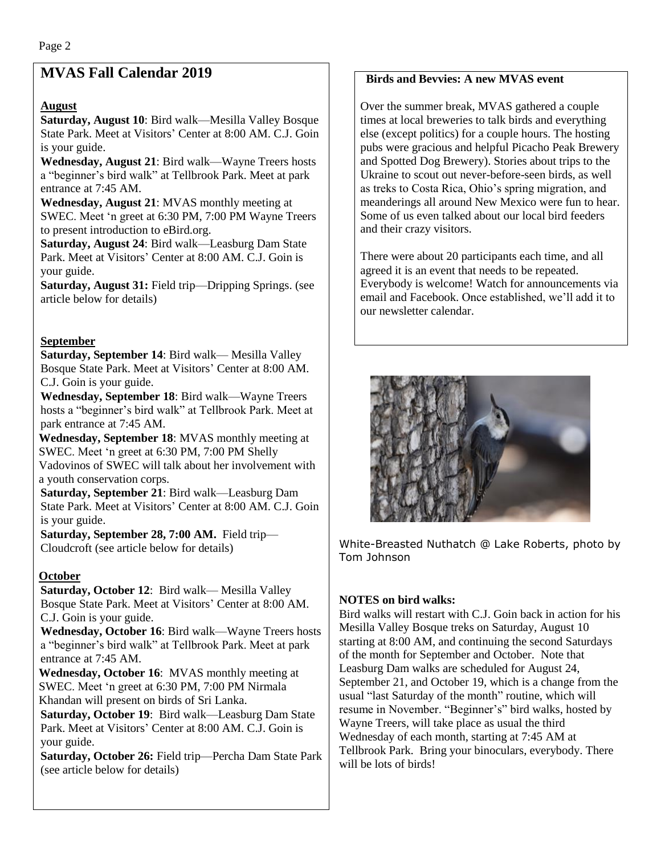# **MVAS Fall Calendar 2019**

# **August**

**Saturday, August 10**: Bird walk—Mesilla Valley Bosque State Park. Meet at Visitors' Center at 8:00 AM. C.J. Goin is your guide.

**Wednesday, August 21**: Bird walk—Wayne Treers hosts a "beginner's bird walk" at Tellbrook Park. Meet at park entrance at 7:45 AM.

**Wednesday, August 21**: MVAS monthly meeting at SWEC. Meet 'n greet at 6:30 PM, 7:00 PM Wayne Treers to present introduction to eBird.org.

**Saturday, August 24**: Bird walk—Leasburg Dam State Park. Meet at Visitors' Center at 8:00 AM. C.J. Goin is your guide.

**Saturday, August 31:** Field trip—Dripping Springs. (see article below for details)

## **September**

**Saturday, September 14**: Bird walk— Mesilla Valley Bosque State Park. Meet at Visitors' Center at 8:00 AM. C.J. Goin is your guide.

**Wednesday, September 18**: Bird walk—Wayne Treers hosts a "beginner's bird walk" at Tellbrook Park. Meet at park entrance at 7:45 AM.

**Wednesday, September 18**: MVAS monthly meeting at SWEC. Meet 'n greet at 6:30 PM, 7:00 PM Shelly Vadovinos of SWEC will talk about her involvement with a youth conservation corps.

**Saturday, September 21**: Bird walk—Leasburg Dam State Park. Meet at Visitors' Center at 8:00 AM. C.J. Goin is your guide.

**Saturday, September 28, 7:00 AM.** Field trip— Cloudcroft (see article below for details)

# **October**

**Saturday, October 12**: Bird walk— Mesilla Valley Bosque State Park. Meet at Visitors' Center at 8:00 AM. C.J. Goin is your guide.

**Wednesday, October 16**: Bird walk—Wayne Treers hosts a "beginner's bird walk" at Tellbrook Park. Meet at park entrance at 7:45 AM.

**Wednesday, October 16**: MVAS monthly meeting at SWEC. Meet 'n greet at 6:30 PM, 7:00 PM Nirmala Khandan will present on birds of Sri Lanka.

**Saturday, October 19**: Bird walk—Leasburg Dam State Park. Meet at Visitors' Center at 8:00 AM. C.J. Goin is your guide.

**Saturday, October 26:** Field trip—Percha Dam State Park (see article below for details)

#### **Birds and Bevvies: A new MVAS event**

Over the summer break, MVAS gathered a couple times at local breweries to talk birds and everything else (except politics) for a couple hours. The hosting pubs were gracious and helpful Picacho Peak Brewery and Spotted Dog Brewery). Stories about trips to the Ukraine to scout out never-before-seen birds, as well as treks to Costa Rica, Ohio's spring migration, and meanderings all around New Mexico were fun to hear. Some of us even talked about our local bird feeders and their crazy visitors.

There were about 20 participants each time, and all agreed it is an event that needs to be repeated. Everybody is welcome! Watch for announcements via email and Facebook. Once established, we'll add it to our newsletter calendar.



White-Breasted Nuthatch @ Lake Roberts, photo by Tom Johnson

# **NOTES on bird walks:**

Bird walks will restart with C.J. Goin back in action for his Mesilla Valley Bosque treks on Saturday, August 10 starting at 8:00 AM, and continuing the second Saturdays of the month for September and October. Note that Leasburg Dam walks are scheduled for August 24, September 21, and October 19, which is a change from the usual "last Saturday of the month" routine, which will resume in November. "Beginner's" bird walks, hosted by Wayne Treers, will take place as usual the third Wednesday of each month, starting at 7:45 AM at Tellbrook Park. Bring your binoculars, everybody. There will be lots of birds!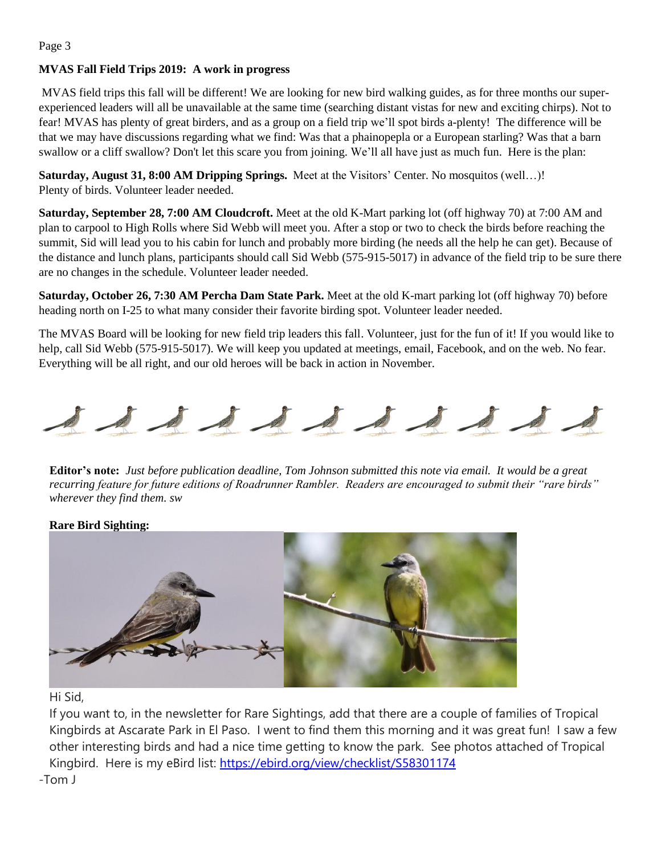#### **MVAS Fall Field Trips 2019: A work in progress**

MVAS field trips this fall will be different! We are looking for new bird walking guides, as for three months our superexperienced leaders will all be unavailable at the same time (searching distant vistas for new and exciting chirps). Not to fear! MVAS has plenty of great birders, and as a group on a field trip we'll spot birds a-plenty! The difference will be that we may have discussions regarding what we find: Was that a phainopepla or a European starling? Was that a barn swallow or a cliff swallow? Don't let this scare you from joining. We'll all have just as much fun. Here is the plan:

**Saturday, August 31, 8:00 AM Dripping Springs.** Meet at the Visitors' Center. No mosquitos (well…)! Plenty of birds. Volunteer leader needed.

**Saturday, September 28, 7:00 AM Cloudcroft.** Meet at the old K-Mart parking lot (off highway 70) at 7:00 AM and plan to carpool to High Rolls where Sid Webb will meet you. After a stop or two to check the birds before reaching the summit, Sid will lead you to his cabin for lunch and probably more birding (he needs all the help he can get). Because of the distance and lunch plans, participants should call Sid Webb (575-915-5017) in advance of the field trip to be sure there are no changes in the schedule. Volunteer leader needed.

**Saturday, October 26, 7:30 AM Percha Dam State Park.** Meet at the old K-mart parking lot (off highway 70) before heading north on I-25 to what many consider their favorite birding spot. Volunteer leader needed.

The MVAS Board will be looking for new field trip leaders this fall. Volunteer, just for the fun of it! If you would like to help, call Sid Webb (575-915-5017). We will keep you updated at meetings, email, Facebook, and on the web. No fear. Everything will be all right, and our old heroes will be back in action in November.



**Editor's note:** *Just before publication deadline, Tom Johnson submitted this note via email. It would be a great recurring feature for future editions of Roadrunner Rambler. Readers are encouraged to submit their "rare birds" wherever they find them. sw*

#### **Rare Bird Sighting:**



Hi Sid,

If you want to, in the newsletter for Rare Sightings, add that there are a couple of families of Tropical Kingbirds at Ascarate Park in El Paso. I went to find them this morning and it was great fun! I saw a few other interesting birds and had a nice time getting to know the park. See photos attached of Tropical Kingbird. Here is my eBird list: [https://ebird.org/view/checklist/S58301174](https://eur02.safelinks.protection.outlook.com/?url=https%3A%2F%2Febird.org%2Fview%2Fchecklist%2FS58301174&data=02%7C01%7C%7Ca742edcb95b541cc0e3608d70c986b15%7C84df9e7fe9f640afb435aaaaaaaaaaaa%7C1%7C0%7C636991721108987307&sdata=5H7VolW9x%2B%2FqIbaT%2Bg6dToi0SVq8ulvT3hYEOmx%2Brxg%3D&reserved=0) -Tom J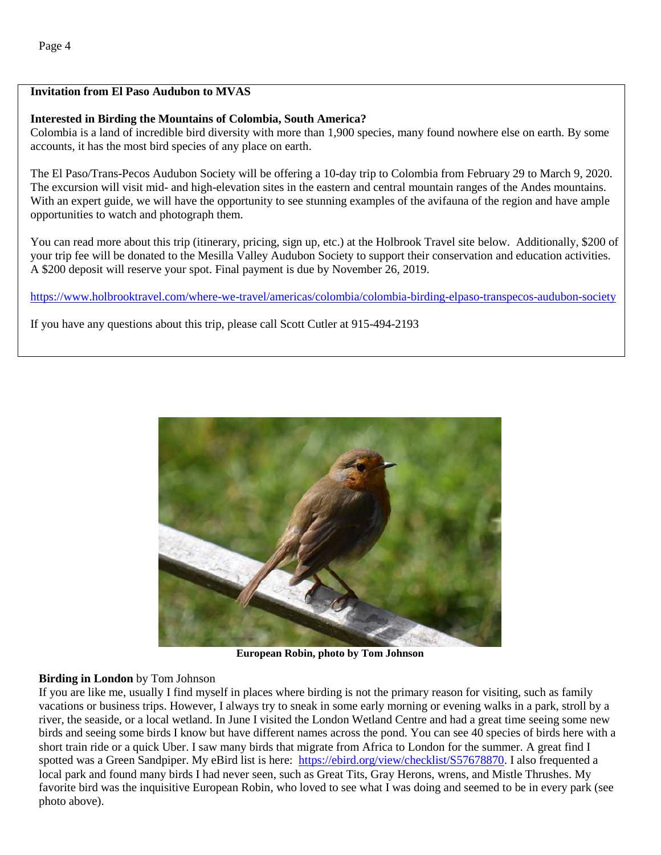# **Invitation from El Paso Audubon to MVAS**

### **Interested in Birding the Mountains of Colombia, South America?**

Colombia is a land of incredible bird diversity with more than 1,900 species, many found nowhere else on earth. By some accounts, it has the most bird species of any place on earth.

The El Paso/Trans-Pecos Audubon Society will be offering a 10-day trip to Colombia from February 29 to March 9, 2020. The excursion will visit mid- and high-elevation sites in the eastern and central mountain ranges of the Andes mountains. With an expert guide, we will have the opportunity to see stunning examples of the avifauna of the region and have ample opportunities to watch and photograph them.

You can read more about this trip (itinerary, pricing, sign up, etc.) at the Holbrook Travel site below. Additionally, \$200 of your trip fee will be donated to the Mesilla Valley Audubon Society to support their conservation and education activities. A \$200 deposit will reserve your spot. Final payment is due by November 26, 2019.

<https://www.holbrooktravel.com/where-we-travel/americas/colombia/colombia-birding-elpaso-transpecos-audubon-society>

If you have any questions about this trip, please call Scott Cutler at 915-494-2193



**European Robin, photo by Tom Johnson**

# **Birding in London** by Tom Johnson

If you are like me, usually I find myself in places where birding is not the primary reason for visiting, such as family vacations or business trips. However, I always try to sneak in some early morning or evening walks in a park, stroll by a river, the seaside, or a local wetland. In June I visited the London Wetland Centre and had a great time seeing some new birds and seeing some birds I know but have different names across the pond. You can see 40 species of birds here with a short train ride or a quick Uber. I saw many birds that migrate from Africa to London for the summer. A great find I spotted was a Green Sandpiper. My eBird list is here: [https://ebird.org/view/checklist/S57678870.](https://ebird.org/view/checklist/S57678870) I also frequented a local park and found many birds I had never seen, such as Great Tits, Gray Herons, wrens, and Mistle Thrushes. My favorite bird was the inquisitive European Robin, who loved to see what I was doing and seemed to be in every park (see photo above).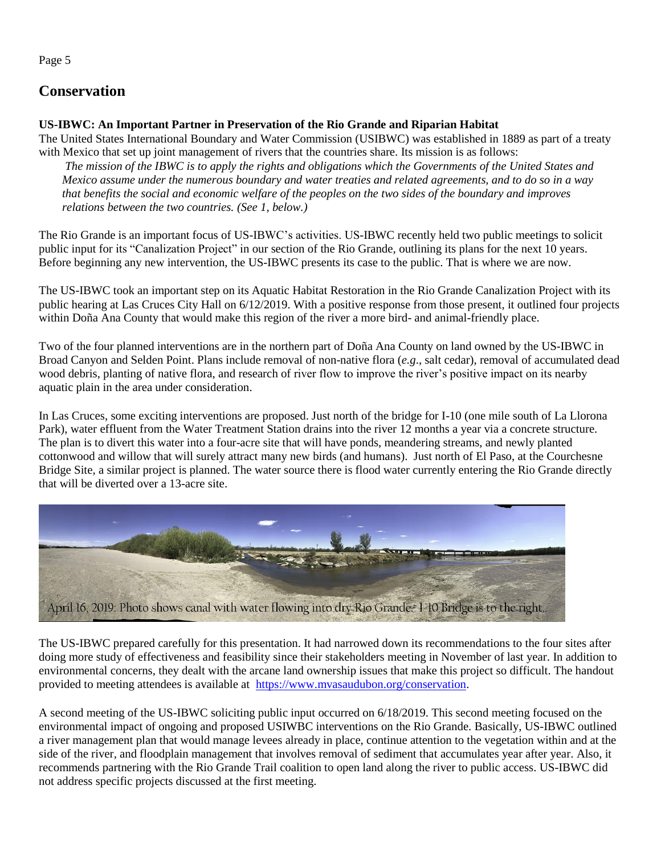Page 5

# **Conservation**

#### **US-IBWC: An Important Partner in Preservation of the Rio Grande and Riparian Habitat**

The United States International Boundary and Water Commission (USIBWC) was established in 1889 as part of a treaty with Mexico that set up joint management of rivers that the countries share. Its mission is as follows:

*The mission of the IBWC is to apply the rights and obligations which the Governments of the United States and Mexico assume under the numerous boundary and water treaties and related agreements, and to do so in a way that benefits the social and economic welfare of the peoples on the two sides of the boundary and improves relations between the two countries. (See 1, below.)*

The Rio Grande is an important focus of US-IBWC's activities. US-IBWC recently held two public meetings to solicit public input for its "Canalization Project" in our section of the Rio Grande, outlining its plans for the next 10 years. Before beginning any new intervention, the US-IBWC presents its case to the public. That is where we are now.

The US-IBWC took an important step on its Aquatic Habitat Restoration in the Rio Grande Canalization Project with its public hearing at Las Cruces City Hall on 6/12/2019. With a positive response from those present, it outlined four projects within Doña Ana County that would make this region of the river a more bird- and animal-friendly place.

Two of the four planned interventions are in the northern part of Doña Ana County on land owned by the US-IBWC in Broad Canyon and Selden Point. Plans include removal of non-native flora (*e.g*., salt cedar), removal of accumulated dead wood debris, planting of native flora, and research of river flow to improve the river's positive impact on its nearby aquatic plain in the area under consideration.

In Las Cruces, some exciting interventions are proposed. Just north of the bridge for I-10 (one mile south of La Llorona Park), water effluent from the Water Treatment Station drains into the river 12 months a year via a concrete structure. The plan is to divert this water into a four-acre site that will have ponds, meandering streams, and newly planted cottonwood and willow that will surely attract many new birds (and humans). Just north of El Paso, at the Courchesne Bridge Site, a similar project is planned. The water source there is flood water currently entering the Rio Grande directly that will be diverted over a 13-acre site.



The US-IBWC prepared carefully for this presentation. It had narrowed down its recommendations to the four sites after doing more study of effectiveness and feasibility since their stakeholders meeting in November of last year. In addition to environmental concerns, they dealt with the arcane land ownership issues that make this project so difficult. The handout provided to meeting attendees is available at [https://www.mvasaudubon.org/conservation.](https://www.mvasaudubon.org/conservation)

A second meeting of the US-IBWC soliciting public input occurred on 6/18/2019. This second meeting focused on the environmental impact of ongoing and proposed USIWBC interventions on the Rio Grande. Basically, US-IBWC outlined a river management plan that would manage levees already in place, continue attention to the vegetation within and at the side of the river, and floodplain management that involves removal of sediment that accumulates year after year. Also, it recommends partnering with the Rio Grande Trail coalition to open land along the river to public access. US-IBWC did not address specific projects discussed at the first meeting.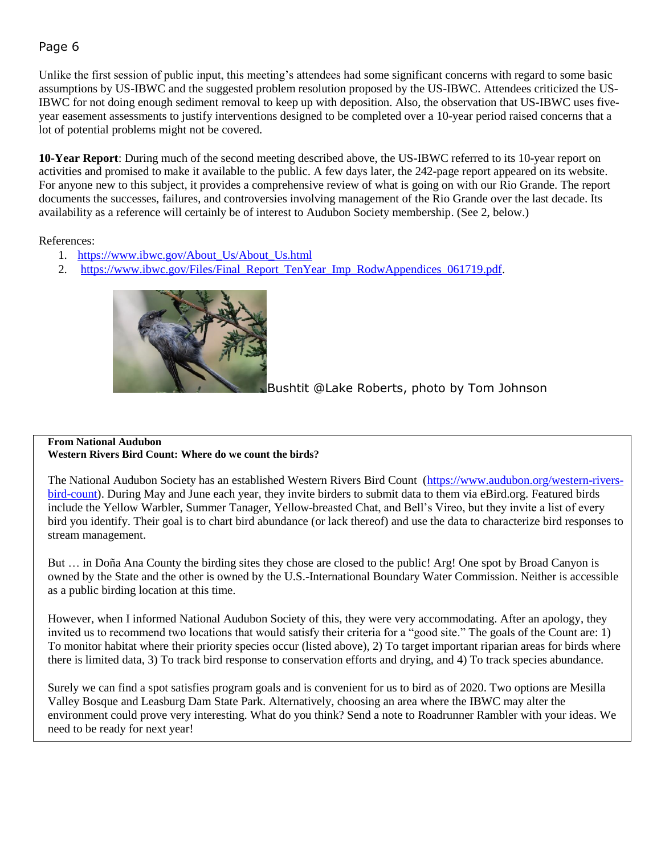# Page 6

Unlike the first session of public input, this meeting's attendees had some significant concerns with regard to some basic assumptions by US-IBWC and the suggested problem resolution proposed by the US-IBWC. Attendees criticized the US-IBWC for not doing enough sediment removal to keep up with deposition. Also, the observation that US-IBWC uses fiveyear easement assessments to justify interventions designed to be completed over a 10-year period raised concerns that a lot of potential problems might not be covered.

**10-Year Report**: During much of the second meeting described above, the US-IBWC referred to its 10-year report on activities and promised to make it available to the public. A few days later, the 242-page report appeared on its website. For anyone new to this subject, it provides a comprehensive review of what is going on with our Rio Grande. The report documents the successes, failures, and controversies involving management of the Rio Grande over the last decade. Its availability as a reference will certainly be of interest to Audubon Society membership. (See 2, below.)

References:

- 1. [https://www.ibwc.gov/About\\_Us/About\\_Us.html](https://www.ibwc.gov/About_Us/About_Us.html)
- 2. [https://www.ibwc.gov/Files/Final\\_Report\\_TenYear\\_Imp\\_RodwAppendices\\_061719.pdf.](https://www.ibwc.gov/Files/Final_Report_TenYear_Imp_RodwAppendices_061719.pdf)



Bushtit @Lake Roberts, photo by Tom Johnson

#### **From National Audubon Western Rivers Bird Count: Where do we count the birds?**

The National Audubon Society has an established Western Rivers Bird Count [\(https://www.audubon.org/western-rivers](https://www.audubon.org/western-rivers-bird-count)[bird-count\)](https://www.audubon.org/western-rivers-bird-count). During May and June each year, they invite birders to submit data to them via eBird.org. Featured birds include the Yellow Warbler, Summer Tanager, Yellow-breasted Chat, and Bell's Vireo, but they invite a list of every bird you identify. Their goal is to chart bird abundance (or lack thereof) and use the data to characterize bird responses to stream management.

But … in Doña Ana County the birding sites they chose are closed to the public! Arg! One spot by Broad Canyon is owned by the State and the other is owned by the U.S.-International Boundary Water Commission. Neither is accessible as a public birding location at this time.

However, when I informed National Audubon Society of this, they were very accommodating. After an apology, they invited us to recommend two locations that would satisfy their criteria for a "good site." The goals of the Count are: 1) To monitor habitat where their priority species occur (listed above), 2) To target important riparian areas for birds where there is limited data, 3) To track bird response to conservation efforts and drying, and 4) To track species abundance.

Surely we can find a spot satisfies program goals and is convenient for us to bird as of 2020. Two options are Mesilla Valley Bosque and Leasburg Dam State Park. Alternatively, choosing an area where the IBWC may alter the environment could prove very interesting. What do you think? Send a note to Roadrunner Rambler with your ideas. We need to be ready for next year!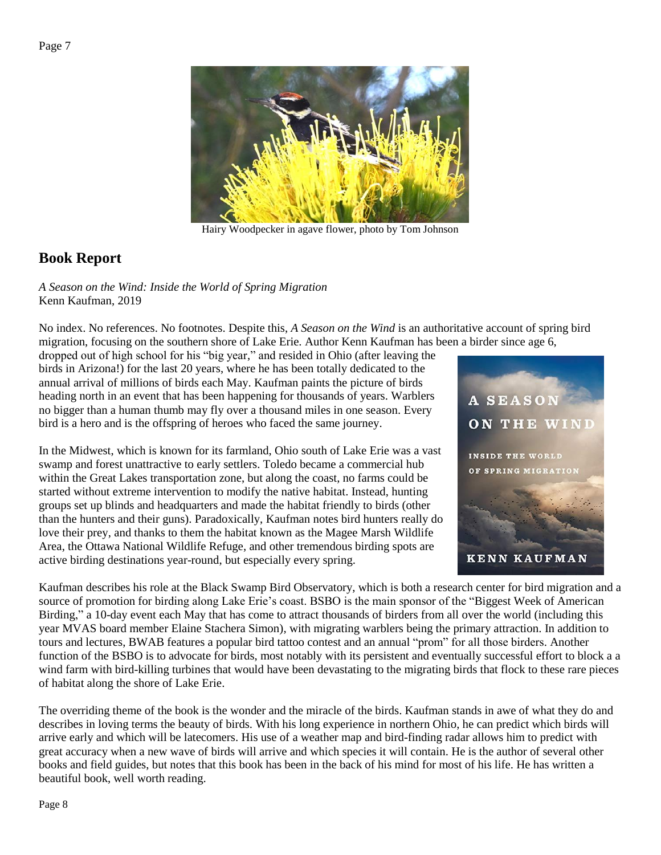

Hairy Woodpecker in agave flower, photo by Tom Johnson

# **Book Report**

*A Season on the Wind: Inside the World of Spring Migration* Kenn Kaufman, 2019

No index. No references. No footnotes. Despite this, *A Season on the Wind* is an authoritative account of spring bird migration, focusing on the southern shore of Lake Erie. Author Kenn Kaufman has been a birder since age 6,

dropped out of high school for his "big year," and resided in Ohio (after leaving the birds in Arizona!) for the last 20 years, where he has been totally dedicated to the annual arrival of millions of birds each May. Kaufman paints the picture of birds heading north in an event that has been happening for thousands of years. Warblers no bigger than a human thumb may fly over a thousand miles in one season. Every bird is a hero and is the offspring of heroes who faced the same journey.

In the Midwest, which is known for its farmland, Ohio south of Lake Erie was a vast swamp and forest unattractive to early settlers. Toledo became a commercial hub within the Great Lakes transportation zone, but along the coast, no farms could be started without extreme intervention to modify the native habitat. Instead, hunting groups set up blinds and headquarters and made the habitat friendly to birds (other than the hunters and their guns). Paradoxically, Kaufman notes bird hunters really do love their prey, and thanks to them the habitat known as the Magee Marsh Wildlife Area, the Ottawa National Wildlife Refuge, and other tremendous birding spots are active birding destinations year-round, but especially every spring.



Kaufman describes his role at the Black Swamp Bird Observatory, which is both a research center for bird migration and a source of promotion for birding along Lake Erie's coast. BSBO is the main sponsor of the "Biggest Week of American Birding," a 10-day event each May that has come to attract thousands of birders from all over the world (including this year MVAS board member Elaine Stachera Simon), with migrating warblers being the primary attraction. In addition to tours and lectures, BWAB features a popular bird tattoo contest and an annual "prom" for all those birders. Another function of the BSBO is to advocate for birds, most notably with its persistent and eventually successful effort to block a a wind farm with bird-killing turbines that would have been devastating to the migrating birds that flock to these rare pieces of habitat along the shore of Lake Erie.

The overriding theme of the book is the wonder and the miracle of the birds. Kaufman stands in awe of what they do and describes in loving terms the beauty of birds. With his long experience in northern Ohio, he can predict which birds will arrive early and which will be latecomers. His use of a weather map and bird-finding radar allows him to predict with great accuracy when a new wave of birds will arrive and which species it will contain. He is the author of several other books and field guides, but notes that this book has been in the back of his mind for most of his life. He has written a beautiful book, well worth reading.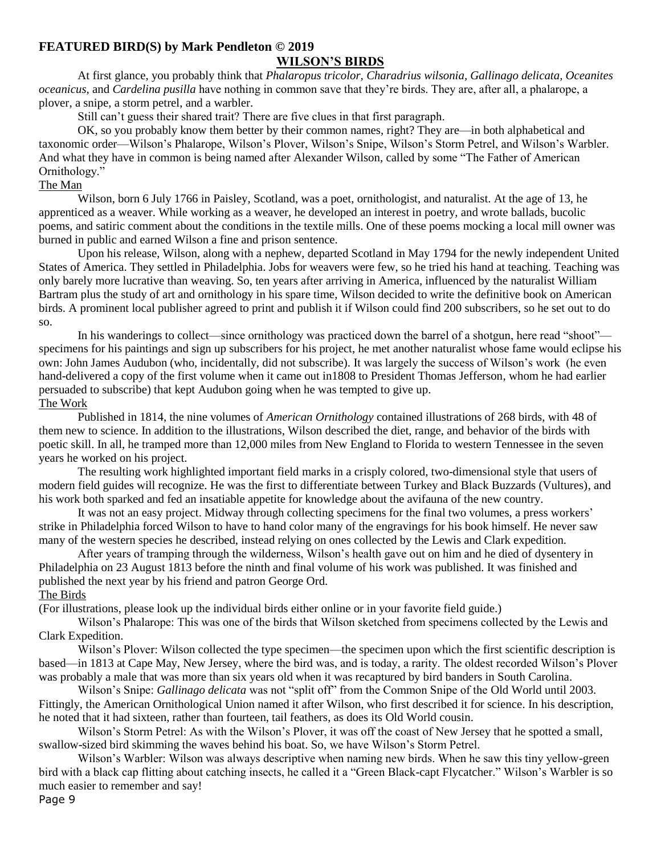#### **FEATURED BIRD(S) by Mark Pendleton © 2019**

#### **WILSON'S BIRDS**

At first glance, you probably think that *Phalaropus tricolor, Charadrius wilsonia, Gallinago delicata, Oceanites oceanicus,* and *Cardelina pusilla* have nothing in common save that they're birds. They are, after all, a phalarope, a plover, a snipe, a storm petrel, and a warbler.

Still can't guess their shared trait? There are five clues in that first paragraph.

 OK, so you probably know them better by their common names, right? They are—in both alphabetical and taxonomic order—Wilson's Phalarope, Wilson's Plover, Wilson's Snipe, Wilson's Storm Petrel, and Wilson's Warbler. And what they have in common is being named after Alexander Wilson, called by some "The Father of American Ornithology."

#### The Man

Wilson, born 6 July 1766 in Paisley, Scotland, was a poet, ornithologist, and naturalist. At the age of 13, he apprenticed as a weaver. While working as a weaver, he developed an interest in poetry, and wrote ballads, bucolic poems, and satiric comment about the conditions in the textile mills. One of these poems mocking a local mill owner was burned in public and earned Wilson a fine and prison sentence.

Upon his release, Wilson, along with a nephew, departed Scotland in May 1794 for the newly independent United States of America. They settled in Philadelphia. Jobs for weavers were few, so he tried his hand at teaching. Teaching was only barely more lucrative than weaving. So, ten years after arriving in America, influenced by the naturalist William Bartram plus the study of art and ornithology in his spare time, Wilson decided to write the definitive book on American birds. A prominent local publisher agreed to print and publish it if Wilson could find 200 subscribers, so he set out to do so.

 In his wanderings to collect—since ornithology was practiced down the barrel of a shotgun, here read "shoot" specimens for his paintings and sign up subscribers for his project, he met another naturalist whose fame would eclipse his own: John James Audubon (who, incidentally, did not subscribe). It was largely the success of Wilson's work (he even hand-delivered a copy of the first volume when it came out in1808 to President Thomas Jefferson, whom he had earlier persuaded to subscribe) that kept Audubon going when he was tempted to give up. The Work

Published in 1814, the nine volumes of *American Ornithology* contained illustrations of 268 birds, with 48 of them new to science. In addition to the illustrations, Wilson described the diet, range, and behavior of the birds with poetic skill. In all, he tramped more than 12,000 miles from New England to Florida to western Tennessee in the seven years he worked on his project.

 The resulting work highlighted important field marks in a crisply colored, two-dimensional style that users of modern field guides will recognize. He was the first to differentiate between Turkey and Black Buzzards (Vultures), and his work both sparked and fed an insatiable appetite for knowledge about the avifauna of the new country.

 It was not an easy project. Midway through collecting specimens for the final two volumes, a press workers' strike in Philadelphia forced Wilson to have to hand color many of the engravings for his book himself. He never saw many of the western species he described, instead relying on ones collected by the Lewis and Clark expedition.

 After years of tramping through the wilderness, Wilson's health gave out on him and he died of dysentery in Philadelphia on 23 August 1813 before the ninth and final volume of his work was published. It was finished and published the next year by his friend and patron George Ord.

#### The Birds

(For illustrations, please look up the individual birds either online or in your favorite field guide.)

 Wilson's Phalarope: This was one of the birds that Wilson sketched from specimens collected by the Lewis and Clark Expedition.

 Wilson's Plover: Wilson collected the type specimen—the specimen upon which the first scientific description is based—in 1813 at Cape May, New Jersey, where the bird was, and is today, a rarity. The oldest recorded Wilson's Plover was probably a male that was more than six years old when it was recaptured by bird banders in South Carolina.

 Wilson's Snipe: *Gallinago delicata* was not "split off" from the Common Snipe of the Old World until 2003. Fittingly, the American Ornithological Union named it after Wilson, who first described it for science. In his description, he noted that it had sixteen, rather than fourteen, tail feathers, as does its Old World cousin.

Wilson's Storm Petrel: As with the Wilson's Plover, it was off the coast of New Jersey that he spotted a small, swallow-sized bird skimming the waves behind his boat. So, we have Wilson's Storm Petrel.

 Wilson's Warbler: Wilson was always descriptive when naming new birds. When he saw this tiny yellow-green bird with a black cap flitting about catching insects, he called it a "Green Black-capt Flycatcher." Wilson's Warbler is so much easier to remember and say!

Page 9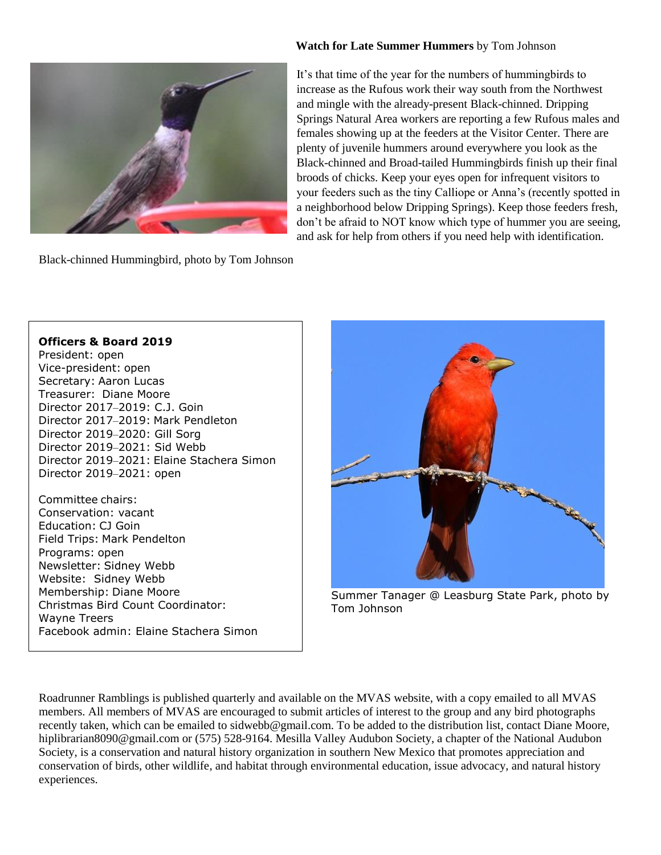#### **Watch for Late Summer Hummers** by Tom Johnson



Black-chinned Hummingbird, photo by Tom Johnson

It's that time of the year for the numbers of hummingbirds to increase as the Rufous work their way south from the Northwest and mingle with the already-present Black-chinned. Dripping Springs Natural Area workers are reporting a few Rufous males and females showing up at the feeders at the Visitor Center. There are plenty of juvenile hummers around everywhere you look as the Black-chinned and Broad-tailed Hummingbirds finish up their final broods of chicks. Keep your eyes open for infrequent visitors to your feeders such as the tiny Calliope or Anna's (recently spotted in a neighborhood below Dripping Springs). Keep those feeders fresh, don't be afraid to NOT know which type of hummer you are seeing, and ask for help from others if you need help with identification.

**[Officers & Board 2019](http://www.new-mexico-birds.com/officers-and-board-members/)** President: open Vice-president: open Secretary: Aaron Lucas Treasurer: Diane Moore Director 2017–2019: C.J. Goin Director 2017–2019: Mark Pendleton Director 2019–2020: Gill Sorg Director 2019–2021: Sid Webb Director 2019–2021: Elaine Stachera Simon Director 2019–2021: open

Committee chairs: Conservation: vacant Education: CJ Goin Field Trips: Mark Pendelton Programs: open Newsletter: Sidney Webb Website: Sidney Webb Membership: Diane Moore Christmas Bird Count Coordinator: Wayne Treers Facebook admin: Elaine Stachera Simon



Summer Tanager @ Leasburg State Park, photo by Tom Johnson

Roadrunner Ramblings is published quarterly and available on the MVAS website, with a copy emailed to all MVAS members. All members of MVAS are encouraged to submit articles of interest to the group and any bird photographs recently taken, which can be emailed to sidwebb@gmail.com. To be added to the distribution list, contact Diane Moore, hiplibrarian8090@gmail.com or (575) 528-9164. Mesilla Valley Audubon Society, a chapter of the National Audubon Society, is a conservation and natural history organization in southern New Mexico that promotes appreciation and conservation of birds, other wildlife, and habitat through environmental education, issue advocacy, and natural history experiences.